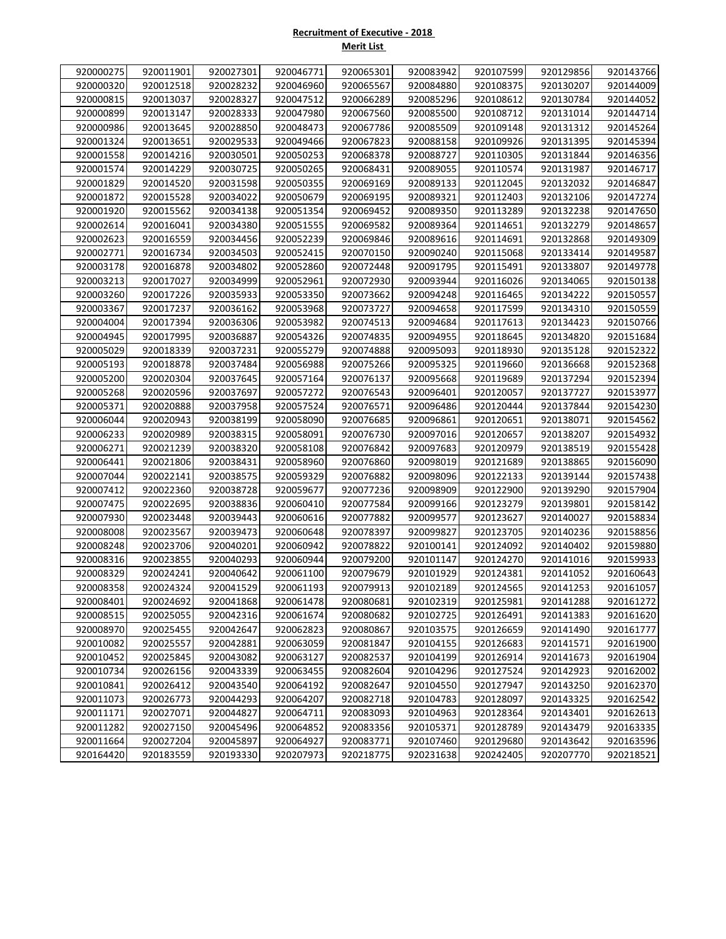## **Recruitment of Executive - 2018 Merit List**

| 920000275<br>920011901<br>920027301<br>920046771<br>920065301<br>920083942<br>920107599<br>920129856<br>920143766<br>920000320<br>920012518<br>920028232<br>920046960<br>920065567<br>920084880<br>920108375<br>920130207<br>920144009<br>920000815<br>920013037<br>920028327<br>920047512<br>920085296<br>920066289<br>920108612<br>920130784<br>920144052<br>920000899<br>920013147<br>920028333<br>920047980<br>920067560<br>920085500<br>920108712<br>920131014<br>920144714<br>920145264<br>920000986<br>920013645<br>920028850<br>920048473<br>920067786<br>920085509<br>920109148<br>920131312<br>920001324<br>920013651<br>920029533<br>920049466<br>920067823<br>920088158<br>920109926<br>920131395<br>920145394<br>920001558<br>920014216<br>920030501<br>920068378<br>920088727<br>920110305<br>920131844<br>920146356<br>920050253<br>920001574<br>920014229<br>920030725<br>920050265<br>920068431<br>920110574<br>920131987<br>920146717<br>920089055<br>920001829<br>920014520<br>920031598<br>920050355<br>920069169<br>920089133<br>920112045<br>920132032<br>920146847<br>920001872<br>920015528<br>920069195<br>920089321<br>920112403<br>920034022<br>920050679<br>920132106<br>920147274<br>920001920<br>920015562<br>920034138<br>920051354<br>920069452<br>920089350<br>920113289<br>920132238<br>920147650<br>920051555<br>920114651<br>920002614<br>920016041<br>920034380<br>920069582<br>920089364<br>920132279<br>920148657<br>920002623<br>920016559<br>920034456<br>920052239<br>920069846<br>920089616<br>920114691<br>920132868<br>920149309<br>920002771<br>920016734<br>920034503<br>920052415<br>920115068<br>920133414<br>920070150<br>920090240<br>920149587<br>920003178<br>920016878<br>920034802<br>920052860<br>920072448<br>920091795<br>920115491<br>920133807<br>920149778<br>920003213<br>920017027<br>920034999<br>920052961<br>920072930<br>920093944<br>920116026<br>920134065<br>920150138<br>920073662<br>920116465<br>920150557<br>920003260<br>920017226<br>920035933<br>920053350<br>920094248<br>920134222<br>920036162<br>920053968<br>920094658<br>920150559<br>920003367<br>920017237<br>920073727<br>920117599<br>920134310<br>920004004<br>920017394<br>920036306<br>920053982<br>920074513<br>920094684<br>920117613<br>920134423<br>920150766<br>920074835<br>920004945<br>920017995<br>920036887<br>920054326<br>920094955<br>920118645<br>920134820<br>920151684<br>920005029<br>920018339<br>920037231<br>920055279<br>920074888<br>920095093<br>920118930<br>920135128<br>920152322<br>920075266<br>920005193<br>920018878<br>920037484<br>920056988<br>920095325<br>920119660<br>920136668<br>920152368<br>920005200<br>920020304<br>920037645<br>920057164<br>920076137<br>920095668<br>920119689<br>920137294<br>920152394<br>920020596<br>920037697<br>920057272<br>920076543<br>920096401<br>920120057<br>920137727<br>920153977<br>920005268<br>920005371<br>920020888<br>920037958<br>920057524<br>920076571<br>920096486<br>920120444<br>920137844<br>920154230<br>920006044<br>920020943<br>920038199<br>920058090<br>920076685<br>920096861<br>920120651<br>920138071<br>920154562<br>920058091<br>920138207<br>920154932<br>920006233<br>920020989<br>920038315<br>920076730<br>920097016<br>920120657<br>920006271<br>920058108<br>920076842<br>920097683<br>920138519<br>920155428<br>920021239<br>920038320<br>920120979<br>920006441<br>920021806<br>920038431<br>920058960<br>920076860<br>920098019<br>920121689<br>920138865<br>920156090<br>920007044<br>920022141<br>920038575<br>920059329<br>920076882<br>920098096<br>920122133<br>920139144<br>920157438<br>920007412<br>920022360<br>920038728<br>920059677<br>920077236<br>920098909<br>920122900<br>920139290<br>920157904<br>920038836<br>920077584<br>920123279<br>920139801<br>920158142<br>920007475<br>920022695<br>920060410<br>920099166<br>920077882<br>920123627<br>920140027<br>920007930<br>920023448<br>920039443<br>920060616<br>920099577<br>920158834<br>920008008<br>920023567<br>920039473<br>920060648<br>920078397<br>920099827<br>920123705<br>920140236<br>920158856<br>920008248<br>920023706<br>920078822<br>920100141<br>920124092<br>920140402<br>920159880<br>920040201<br>920060942<br>920008316<br>920023855<br>920040293<br>920060944<br>920079200<br>920101147<br>920124270<br>920141016<br>920159933<br>920040642<br>920124381<br>920141052<br>920008329<br>920024241<br>920061100<br>920079679<br>920101929<br>920160643<br>920008358<br>920079913<br>920124565<br>920141253<br>920024324<br>920041529<br>920061193<br>920102189<br>920161057<br>920008401<br>920024692<br>920041868<br>920061478<br>920080681<br>920102319<br>920125981<br>920141288<br>920161272<br>920025055<br>920008515<br>920042316<br>920061674<br>920080682<br>920102725<br>920126491<br>920141383<br>920161620<br>920008970<br>920025455<br>920042647<br>920062823<br>920080867<br>920103575<br>920126659<br>920141490<br>920161777<br>920010082<br>920025557<br>920042881<br>920063059<br>920081847<br>920104155<br>920126683<br>920141571<br>920161900<br>920010452<br>920025845<br>920082537<br>920104199<br>920126914<br>920043082<br>920063127<br>920141673<br>920161904<br>920010734<br>920026156<br>920082604<br>920127524<br>920142923<br>920043339<br>920063455<br>920104296<br>920162002<br>920010841<br>920026412<br>920064192<br>920082647<br>920104550<br>920127947<br>920143250<br>920043540<br>920162370<br>920011073<br>920082718<br>920104783<br>920128097<br>920143325<br>920026773<br>920044293<br>920064207<br>920162542<br>920011171<br>920083093<br>920027071<br>920044827<br>920064711<br>920104963<br>920128364<br>920143401<br>920162613<br>920011282<br>920027150<br>920045496<br>920064852<br>920083356<br>920105371<br>920128789<br>920143479<br>920163335<br>920011664<br>920027204<br>920045897<br>920064927<br>920083771<br>920107460<br>920129680<br>920143642<br>920163596<br>920164420<br>920183559<br>920193330<br>920207973<br>920218775<br>920231638<br>920242405<br>920207770<br>920218521 |  |  |  |  |  |
|----------------------------------------------------------------------------------------------------------------------------------------------------------------------------------------------------------------------------------------------------------------------------------------------------------------------------------------------------------------------------------------------------------------------------------------------------------------------------------------------------------------------------------------------------------------------------------------------------------------------------------------------------------------------------------------------------------------------------------------------------------------------------------------------------------------------------------------------------------------------------------------------------------------------------------------------------------------------------------------------------------------------------------------------------------------------------------------------------------------------------------------------------------------------------------------------------------------------------------------------------------------------------------------------------------------------------------------------------------------------------------------------------------------------------------------------------------------------------------------------------------------------------------------------------------------------------------------------------------------------------------------------------------------------------------------------------------------------------------------------------------------------------------------------------------------------------------------------------------------------------------------------------------------------------------------------------------------------------------------------------------------------------------------------------------------------------------------------------------------------------------------------------------------------------------------------------------------------------------------------------------------------------------------------------------------------------------------------------------------------------------------------------------------------------------------------------------------------------------------------------------------------------------------------------------------------------------------------------------------------------------------------------------------------------------------------------------------------------------------------------------------------------------------------------------------------------------------------------------------------------------------------------------------------------------------------------------------------------------------------------------------------------------------------------------------------------------------------------------------------------------------------------------------------------------------------------------------------------------------------------------------------------------------------------------------------------------------------------------------------------------------------------------------------------------------------------------------------------------------------------------------------------------------------------------------------------------------------------------------------------------------------------------------------------------------------------------------------------------------------------------------------------------------------------------------------------------------------------------------------------------------------------------------------------------------------------------------------------------------------------------------------------------------------------------------------------------------------------------------------------------------------------------------------------------------------------------------------------------------------------------------------------------------------------------------------------------------------------------------------------------------------------------------------------------------------------------------------------------------------------------------------------------------------------------------------------------------------------------------------------------------------------------------------------------------------------------------------------------------------------------------------------------------------------------------------------------------------------------------------------------------------------------------------------------------------------------------------------------------------------------------------------------------------------------------------------------------------------------------------------------------------------------------------------------------------------------------------------------------------------------------------------------------------------------------------------------------------------------------------------------------------------------------------------------------------------------------------------------------------------------------------------------------------------------------------------------------------------------------------------------------------------------------------------------------------------------------------------------------------------------------------------------------------------------------------------------------------------------------------------------------------------------------------------------------------------------------------------------------------------------------------------------------------------------------------------------------|--|--|--|--|--|
|                                                                                                                                                                                                                                                                                                                                                                                                                                                                                                                                                                                                                                                                                                                                                                                                                                                                                                                                                                                                                                                                                                                                                                                                                                                                                                                                                                                                                                                                                                                                                                                                                                                                                                                                                                                                                                                                                                                                                                                                                                                                                                                                                                                                                                                                                                                                                                                                                                                                                                                                                                                                                                                                                                                                                                                                                                                                                                                                                                                                                                                                                                                                                                                                                                                                                                                                                                                                                                                                                                                                                                                                                                                                                                                                                                                                                                                                                                                                                                                                                                                                                                                                                                                                                                                                                                                                                                                                                                                                                                                                                                                                                                                                                                                                                                                                                                                                                                                                                                                                                                                                                                                                                                                                                                                                                                                                                                                                                                                                                                                                                                                                                                                                                                                                                                                                                                                                                                                                                                                                                                                                                        |  |  |  |  |  |
|                                                                                                                                                                                                                                                                                                                                                                                                                                                                                                                                                                                                                                                                                                                                                                                                                                                                                                                                                                                                                                                                                                                                                                                                                                                                                                                                                                                                                                                                                                                                                                                                                                                                                                                                                                                                                                                                                                                                                                                                                                                                                                                                                                                                                                                                                                                                                                                                                                                                                                                                                                                                                                                                                                                                                                                                                                                                                                                                                                                                                                                                                                                                                                                                                                                                                                                                                                                                                                                                                                                                                                                                                                                                                                                                                                                                                                                                                                                                                                                                                                                                                                                                                                                                                                                                                                                                                                                                                                                                                                                                                                                                                                                                                                                                                                                                                                                                                                                                                                                                                                                                                                                                                                                                                                                                                                                                                                                                                                                                                                                                                                                                                                                                                                                                                                                                                                                                                                                                                                                                                                                                                        |  |  |  |  |  |
|                                                                                                                                                                                                                                                                                                                                                                                                                                                                                                                                                                                                                                                                                                                                                                                                                                                                                                                                                                                                                                                                                                                                                                                                                                                                                                                                                                                                                                                                                                                                                                                                                                                                                                                                                                                                                                                                                                                                                                                                                                                                                                                                                                                                                                                                                                                                                                                                                                                                                                                                                                                                                                                                                                                                                                                                                                                                                                                                                                                                                                                                                                                                                                                                                                                                                                                                                                                                                                                                                                                                                                                                                                                                                                                                                                                                                                                                                                                                                                                                                                                                                                                                                                                                                                                                                                                                                                                                                                                                                                                                                                                                                                                                                                                                                                                                                                                                                                                                                                                                                                                                                                                                                                                                                                                                                                                                                                                                                                                                                                                                                                                                                                                                                                                                                                                                                                                                                                                                                                                                                                                                                        |  |  |  |  |  |
|                                                                                                                                                                                                                                                                                                                                                                                                                                                                                                                                                                                                                                                                                                                                                                                                                                                                                                                                                                                                                                                                                                                                                                                                                                                                                                                                                                                                                                                                                                                                                                                                                                                                                                                                                                                                                                                                                                                                                                                                                                                                                                                                                                                                                                                                                                                                                                                                                                                                                                                                                                                                                                                                                                                                                                                                                                                                                                                                                                                                                                                                                                                                                                                                                                                                                                                                                                                                                                                                                                                                                                                                                                                                                                                                                                                                                                                                                                                                                                                                                                                                                                                                                                                                                                                                                                                                                                                                                                                                                                                                                                                                                                                                                                                                                                                                                                                                                                                                                                                                                                                                                                                                                                                                                                                                                                                                                                                                                                                                                                                                                                                                                                                                                                                                                                                                                                                                                                                                                                                                                                                                                        |  |  |  |  |  |
|                                                                                                                                                                                                                                                                                                                                                                                                                                                                                                                                                                                                                                                                                                                                                                                                                                                                                                                                                                                                                                                                                                                                                                                                                                                                                                                                                                                                                                                                                                                                                                                                                                                                                                                                                                                                                                                                                                                                                                                                                                                                                                                                                                                                                                                                                                                                                                                                                                                                                                                                                                                                                                                                                                                                                                                                                                                                                                                                                                                                                                                                                                                                                                                                                                                                                                                                                                                                                                                                                                                                                                                                                                                                                                                                                                                                                                                                                                                                                                                                                                                                                                                                                                                                                                                                                                                                                                                                                                                                                                                                                                                                                                                                                                                                                                                                                                                                                                                                                                                                                                                                                                                                                                                                                                                                                                                                                                                                                                                                                                                                                                                                                                                                                                                                                                                                                                                                                                                                                                                                                                                                                        |  |  |  |  |  |
|                                                                                                                                                                                                                                                                                                                                                                                                                                                                                                                                                                                                                                                                                                                                                                                                                                                                                                                                                                                                                                                                                                                                                                                                                                                                                                                                                                                                                                                                                                                                                                                                                                                                                                                                                                                                                                                                                                                                                                                                                                                                                                                                                                                                                                                                                                                                                                                                                                                                                                                                                                                                                                                                                                                                                                                                                                                                                                                                                                                                                                                                                                                                                                                                                                                                                                                                                                                                                                                                                                                                                                                                                                                                                                                                                                                                                                                                                                                                                                                                                                                                                                                                                                                                                                                                                                                                                                                                                                                                                                                                                                                                                                                                                                                                                                                                                                                                                                                                                                                                                                                                                                                                                                                                                                                                                                                                                                                                                                                                                                                                                                                                                                                                                                                                                                                                                                                                                                                                                                                                                                                                                        |  |  |  |  |  |
|                                                                                                                                                                                                                                                                                                                                                                                                                                                                                                                                                                                                                                                                                                                                                                                                                                                                                                                                                                                                                                                                                                                                                                                                                                                                                                                                                                                                                                                                                                                                                                                                                                                                                                                                                                                                                                                                                                                                                                                                                                                                                                                                                                                                                                                                                                                                                                                                                                                                                                                                                                                                                                                                                                                                                                                                                                                                                                                                                                                                                                                                                                                                                                                                                                                                                                                                                                                                                                                                                                                                                                                                                                                                                                                                                                                                                                                                                                                                                                                                                                                                                                                                                                                                                                                                                                                                                                                                                                                                                                                                                                                                                                                                                                                                                                                                                                                                                                                                                                                                                                                                                                                                                                                                                                                                                                                                                                                                                                                                                                                                                                                                                                                                                                                                                                                                                                                                                                                                                                                                                                                                                        |  |  |  |  |  |
|                                                                                                                                                                                                                                                                                                                                                                                                                                                                                                                                                                                                                                                                                                                                                                                                                                                                                                                                                                                                                                                                                                                                                                                                                                                                                                                                                                                                                                                                                                                                                                                                                                                                                                                                                                                                                                                                                                                                                                                                                                                                                                                                                                                                                                                                                                                                                                                                                                                                                                                                                                                                                                                                                                                                                                                                                                                                                                                                                                                                                                                                                                                                                                                                                                                                                                                                                                                                                                                                                                                                                                                                                                                                                                                                                                                                                                                                                                                                                                                                                                                                                                                                                                                                                                                                                                                                                                                                                                                                                                                                                                                                                                                                                                                                                                                                                                                                                                                                                                                                                                                                                                                                                                                                                                                                                                                                                                                                                                                                                                                                                                                                                                                                                                                                                                                                                                                                                                                                                                                                                                                                                        |  |  |  |  |  |
|                                                                                                                                                                                                                                                                                                                                                                                                                                                                                                                                                                                                                                                                                                                                                                                                                                                                                                                                                                                                                                                                                                                                                                                                                                                                                                                                                                                                                                                                                                                                                                                                                                                                                                                                                                                                                                                                                                                                                                                                                                                                                                                                                                                                                                                                                                                                                                                                                                                                                                                                                                                                                                                                                                                                                                                                                                                                                                                                                                                                                                                                                                                                                                                                                                                                                                                                                                                                                                                                                                                                                                                                                                                                                                                                                                                                                                                                                                                                                                                                                                                                                                                                                                                                                                                                                                                                                                                                                                                                                                                                                                                                                                                                                                                                                                                                                                                                                                                                                                                                                                                                                                                                                                                                                                                                                                                                                                                                                                                                                                                                                                                                                                                                                                                                                                                                                                                                                                                                                                                                                                                                                        |  |  |  |  |  |
|                                                                                                                                                                                                                                                                                                                                                                                                                                                                                                                                                                                                                                                                                                                                                                                                                                                                                                                                                                                                                                                                                                                                                                                                                                                                                                                                                                                                                                                                                                                                                                                                                                                                                                                                                                                                                                                                                                                                                                                                                                                                                                                                                                                                                                                                                                                                                                                                                                                                                                                                                                                                                                                                                                                                                                                                                                                                                                                                                                                                                                                                                                                                                                                                                                                                                                                                                                                                                                                                                                                                                                                                                                                                                                                                                                                                                                                                                                                                                                                                                                                                                                                                                                                                                                                                                                                                                                                                                                                                                                                                                                                                                                                                                                                                                                                                                                                                                                                                                                                                                                                                                                                                                                                                                                                                                                                                                                                                                                                                                                                                                                                                                                                                                                                                                                                                                                                                                                                                                                                                                                                                                        |  |  |  |  |  |
|                                                                                                                                                                                                                                                                                                                                                                                                                                                                                                                                                                                                                                                                                                                                                                                                                                                                                                                                                                                                                                                                                                                                                                                                                                                                                                                                                                                                                                                                                                                                                                                                                                                                                                                                                                                                                                                                                                                                                                                                                                                                                                                                                                                                                                                                                                                                                                                                                                                                                                                                                                                                                                                                                                                                                                                                                                                                                                                                                                                                                                                                                                                                                                                                                                                                                                                                                                                                                                                                                                                                                                                                                                                                                                                                                                                                                                                                                                                                                                                                                                                                                                                                                                                                                                                                                                                                                                                                                                                                                                                                                                                                                                                                                                                                                                                                                                                                                                                                                                                                                                                                                                                                                                                                                                                                                                                                                                                                                                                                                                                                                                                                                                                                                                                                                                                                                                                                                                                                                                                                                                                                                        |  |  |  |  |  |
|                                                                                                                                                                                                                                                                                                                                                                                                                                                                                                                                                                                                                                                                                                                                                                                                                                                                                                                                                                                                                                                                                                                                                                                                                                                                                                                                                                                                                                                                                                                                                                                                                                                                                                                                                                                                                                                                                                                                                                                                                                                                                                                                                                                                                                                                                                                                                                                                                                                                                                                                                                                                                                                                                                                                                                                                                                                                                                                                                                                                                                                                                                                                                                                                                                                                                                                                                                                                                                                                                                                                                                                                                                                                                                                                                                                                                                                                                                                                                                                                                                                                                                                                                                                                                                                                                                                                                                                                                                                                                                                                                                                                                                                                                                                                                                                                                                                                                                                                                                                                                                                                                                                                                                                                                                                                                                                                                                                                                                                                                                                                                                                                                                                                                                                                                                                                                                                                                                                                                                                                                                                                                        |  |  |  |  |  |
|                                                                                                                                                                                                                                                                                                                                                                                                                                                                                                                                                                                                                                                                                                                                                                                                                                                                                                                                                                                                                                                                                                                                                                                                                                                                                                                                                                                                                                                                                                                                                                                                                                                                                                                                                                                                                                                                                                                                                                                                                                                                                                                                                                                                                                                                                                                                                                                                                                                                                                                                                                                                                                                                                                                                                                                                                                                                                                                                                                                                                                                                                                                                                                                                                                                                                                                                                                                                                                                                                                                                                                                                                                                                                                                                                                                                                                                                                                                                                                                                                                                                                                                                                                                                                                                                                                                                                                                                                                                                                                                                                                                                                                                                                                                                                                                                                                                                                                                                                                                                                                                                                                                                                                                                                                                                                                                                                                                                                                                                                                                                                                                                                                                                                                                                                                                                                                                                                                                                                                                                                                                                                        |  |  |  |  |  |
|                                                                                                                                                                                                                                                                                                                                                                                                                                                                                                                                                                                                                                                                                                                                                                                                                                                                                                                                                                                                                                                                                                                                                                                                                                                                                                                                                                                                                                                                                                                                                                                                                                                                                                                                                                                                                                                                                                                                                                                                                                                                                                                                                                                                                                                                                                                                                                                                                                                                                                                                                                                                                                                                                                                                                                                                                                                                                                                                                                                                                                                                                                                                                                                                                                                                                                                                                                                                                                                                                                                                                                                                                                                                                                                                                                                                                                                                                                                                                                                                                                                                                                                                                                                                                                                                                                                                                                                                                                                                                                                                                                                                                                                                                                                                                                                                                                                                                                                                                                                                                                                                                                                                                                                                                                                                                                                                                                                                                                                                                                                                                                                                                                                                                                                                                                                                                                                                                                                                                                                                                                                                                        |  |  |  |  |  |
|                                                                                                                                                                                                                                                                                                                                                                                                                                                                                                                                                                                                                                                                                                                                                                                                                                                                                                                                                                                                                                                                                                                                                                                                                                                                                                                                                                                                                                                                                                                                                                                                                                                                                                                                                                                                                                                                                                                                                                                                                                                                                                                                                                                                                                                                                                                                                                                                                                                                                                                                                                                                                                                                                                                                                                                                                                                                                                                                                                                                                                                                                                                                                                                                                                                                                                                                                                                                                                                                                                                                                                                                                                                                                                                                                                                                                                                                                                                                                                                                                                                                                                                                                                                                                                                                                                                                                                                                                                                                                                                                                                                                                                                                                                                                                                                                                                                                                                                                                                                                                                                                                                                                                                                                                                                                                                                                                                                                                                                                                                                                                                                                                                                                                                                                                                                                                                                                                                                                                                                                                                                                                        |  |  |  |  |  |
|                                                                                                                                                                                                                                                                                                                                                                                                                                                                                                                                                                                                                                                                                                                                                                                                                                                                                                                                                                                                                                                                                                                                                                                                                                                                                                                                                                                                                                                                                                                                                                                                                                                                                                                                                                                                                                                                                                                                                                                                                                                                                                                                                                                                                                                                                                                                                                                                                                                                                                                                                                                                                                                                                                                                                                                                                                                                                                                                                                                                                                                                                                                                                                                                                                                                                                                                                                                                                                                                                                                                                                                                                                                                                                                                                                                                                                                                                                                                                                                                                                                                                                                                                                                                                                                                                                                                                                                                                                                                                                                                                                                                                                                                                                                                                                                                                                                                                                                                                                                                                                                                                                                                                                                                                                                                                                                                                                                                                                                                                                                                                                                                                                                                                                                                                                                                                                                                                                                                                                                                                                                                                        |  |  |  |  |  |
|                                                                                                                                                                                                                                                                                                                                                                                                                                                                                                                                                                                                                                                                                                                                                                                                                                                                                                                                                                                                                                                                                                                                                                                                                                                                                                                                                                                                                                                                                                                                                                                                                                                                                                                                                                                                                                                                                                                                                                                                                                                                                                                                                                                                                                                                                                                                                                                                                                                                                                                                                                                                                                                                                                                                                                                                                                                                                                                                                                                                                                                                                                                                                                                                                                                                                                                                                                                                                                                                                                                                                                                                                                                                                                                                                                                                                                                                                                                                                                                                                                                                                                                                                                                                                                                                                                                                                                                                                                                                                                                                                                                                                                                                                                                                                                                                                                                                                                                                                                                                                                                                                                                                                                                                                                                                                                                                                                                                                                                                                                                                                                                                                                                                                                                                                                                                                                                                                                                                                                                                                                                                                        |  |  |  |  |  |
|                                                                                                                                                                                                                                                                                                                                                                                                                                                                                                                                                                                                                                                                                                                                                                                                                                                                                                                                                                                                                                                                                                                                                                                                                                                                                                                                                                                                                                                                                                                                                                                                                                                                                                                                                                                                                                                                                                                                                                                                                                                                                                                                                                                                                                                                                                                                                                                                                                                                                                                                                                                                                                                                                                                                                                                                                                                                                                                                                                                                                                                                                                                                                                                                                                                                                                                                                                                                                                                                                                                                                                                                                                                                                                                                                                                                                                                                                                                                                                                                                                                                                                                                                                                                                                                                                                                                                                                                                                                                                                                                                                                                                                                                                                                                                                                                                                                                                                                                                                                                                                                                                                                                                                                                                                                                                                                                                                                                                                                                                                                                                                                                                                                                                                                                                                                                                                                                                                                                                                                                                                                                                        |  |  |  |  |  |
|                                                                                                                                                                                                                                                                                                                                                                                                                                                                                                                                                                                                                                                                                                                                                                                                                                                                                                                                                                                                                                                                                                                                                                                                                                                                                                                                                                                                                                                                                                                                                                                                                                                                                                                                                                                                                                                                                                                                                                                                                                                                                                                                                                                                                                                                                                                                                                                                                                                                                                                                                                                                                                                                                                                                                                                                                                                                                                                                                                                                                                                                                                                                                                                                                                                                                                                                                                                                                                                                                                                                                                                                                                                                                                                                                                                                                                                                                                                                                                                                                                                                                                                                                                                                                                                                                                                                                                                                                                                                                                                                                                                                                                                                                                                                                                                                                                                                                                                                                                                                                                                                                                                                                                                                                                                                                                                                                                                                                                                                                                                                                                                                                                                                                                                                                                                                                                                                                                                                                                                                                                                                                        |  |  |  |  |  |
|                                                                                                                                                                                                                                                                                                                                                                                                                                                                                                                                                                                                                                                                                                                                                                                                                                                                                                                                                                                                                                                                                                                                                                                                                                                                                                                                                                                                                                                                                                                                                                                                                                                                                                                                                                                                                                                                                                                                                                                                                                                                                                                                                                                                                                                                                                                                                                                                                                                                                                                                                                                                                                                                                                                                                                                                                                                                                                                                                                                                                                                                                                                                                                                                                                                                                                                                                                                                                                                                                                                                                                                                                                                                                                                                                                                                                                                                                                                                                                                                                                                                                                                                                                                                                                                                                                                                                                                                                                                                                                                                                                                                                                                                                                                                                                                                                                                                                                                                                                                                                                                                                                                                                                                                                                                                                                                                                                                                                                                                                                                                                                                                                                                                                                                                                                                                                                                                                                                                                                                                                                                                                        |  |  |  |  |  |
|                                                                                                                                                                                                                                                                                                                                                                                                                                                                                                                                                                                                                                                                                                                                                                                                                                                                                                                                                                                                                                                                                                                                                                                                                                                                                                                                                                                                                                                                                                                                                                                                                                                                                                                                                                                                                                                                                                                                                                                                                                                                                                                                                                                                                                                                                                                                                                                                                                                                                                                                                                                                                                                                                                                                                                                                                                                                                                                                                                                                                                                                                                                                                                                                                                                                                                                                                                                                                                                                                                                                                                                                                                                                                                                                                                                                                                                                                                                                                                                                                                                                                                                                                                                                                                                                                                                                                                                                                                                                                                                                                                                                                                                                                                                                                                                                                                                                                                                                                                                                                                                                                                                                                                                                                                                                                                                                                                                                                                                                                                                                                                                                                                                                                                                                                                                                                                                                                                                                                                                                                                                                                        |  |  |  |  |  |
|                                                                                                                                                                                                                                                                                                                                                                                                                                                                                                                                                                                                                                                                                                                                                                                                                                                                                                                                                                                                                                                                                                                                                                                                                                                                                                                                                                                                                                                                                                                                                                                                                                                                                                                                                                                                                                                                                                                                                                                                                                                                                                                                                                                                                                                                                                                                                                                                                                                                                                                                                                                                                                                                                                                                                                                                                                                                                                                                                                                                                                                                                                                                                                                                                                                                                                                                                                                                                                                                                                                                                                                                                                                                                                                                                                                                                                                                                                                                                                                                                                                                                                                                                                                                                                                                                                                                                                                                                                                                                                                                                                                                                                                                                                                                                                                                                                                                                                                                                                                                                                                                                                                                                                                                                                                                                                                                                                                                                                                                                                                                                                                                                                                                                                                                                                                                                                                                                                                                                                                                                                                                                        |  |  |  |  |  |
|                                                                                                                                                                                                                                                                                                                                                                                                                                                                                                                                                                                                                                                                                                                                                                                                                                                                                                                                                                                                                                                                                                                                                                                                                                                                                                                                                                                                                                                                                                                                                                                                                                                                                                                                                                                                                                                                                                                                                                                                                                                                                                                                                                                                                                                                                                                                                                                                                                                                                                                                                                                                                                                                                                                                                                                                                                                                                                                                                                                                                                                                                                                                                                                                                                                                                                                                                                                                                                                                                                                                                                                                                                                                                                                                                                                                                                                                                                                                                                                                                                                                                                                                                                                                                                                                                                                                                                                                                                                                                                                                                                                                                                                                                                                                                                                                                                                                                                                                                                                                                                                                                                                                                                                                                                                                                                                                                                                                                                                                                                                                                                                                                                                                                                                                                                                                                                                                                                                                                                                                                                                                                        |  |  |  |  |  |
|                                                                                                                                                                                                                                                                                                                                                                                                                                                                                                                                                                                                                                                                                                                                                                                                                                                                                                                                                                                                                                                                                                                                                                                                                                                                                                                                                                                                                                                                                                                                                                                                                                                                                                                                                                                                                                                                                                                                                                                                                                                                                                                                                                                                                                                                                                                                                                                                                                                                                                                                                                                                                                                                                                                                                                                                                                                                                                                                                                                                                                                                                                                                                                                                                                                                                                                                                                                                                                                                                                                                                                                                                                                                                                                                                                                                                                                                                                                                                                                                                                                                                                                                                                                                                                                                                                                                                                                                                                                                                                                                                                                                                                                                                                                                                                                                                                                                                                                                                                                                                                                                                                                                                                                                                                                                                                                                                                                                                                                                                                                                                                                                                                                                                                                                                                                                                                                                                                                                                                                                                                                                                        |  |  |  |  |  |
|                                                                                                                                                                                                                                                                                                                                                                                                                                                                                                                                                                                                                                                                                                                                                                                                                                                                                                                                                                                                                                                                                                                                                                                                                                                                                                                                                                                                                                                                                                                                                                                                                                                                                                                                                                                                                                                                                                                                                                                                                                                                                                                                                                                                                                                                                                                                                                                                                                                                                                                                                                                                                                                                                                                                                                                                                                                                                                                                                                                                                                                                                                                                                                                                                                                                                                                                                                                                                                                                                                                                                                                                                                                                                                                                                                                                                                                                                                                                                                                                                                                                                                                                                                                                                                                                                                                                                                                                                                                                                                                                                                                                                                                                                                                                                                                                                                                                                                                                                                                                                                                                                                                                                                                                                                                                                                                                                                                                                                                                                                                                                                                                                                                                                                                                                                                                                                                                                                                                                                                                                                                                                        |  |  |  |  |  |
|                                                                                                                                                                                                                                                                                                                                                                                                                                                                                                                                                                                                                                                                                                                                                                                                                                                                                                                                                                                                                                                                                                                                                                                                                                                                                                                                                                                                                                                                                                                                                                                                                                                                                                                                                                                                                                                                                                                                                                                                                                                                                                                                                                                                                                                                                                                                                                                                                                                                                                                                                                                                                                                                                                                                                                                                                                                                                                                                                                                                                                                                                                                                                                                                                                                                                                                                                                                                                                                                                                                                                                                                                                                                                                                                                                                                                                                                                                                                                                                                                                                                                                                                                                                                                                                                                                                                                                                                                                                                                                                                                                                                                                                                                                                                                                                                                                                                                                                                                                                                                                                                                                                                                                                                                                                                                                                                                                                                                                                                                                                                                                                                                                                                                                                                                                                                                                                                                                                                                                                                                                                                                        |  |  |  |  |  |
|                                                                                                                                                                                                                                                                                                                                                                                                                                                                                                                                                                                                                                                                                                                                                                                                                                                                                                                                                                                                                                                                                                                                                                                                                                                                                                                                                                                                                                                                                                                                                                                                                                                                                                                                                                                                                                                                                                                                                                                                                                                                                                                                                                                                                                                                                                                                                                                                                                                                                                                                                                                                                                                                                                                                                                                                                                                                                                                                                                                                                                                                                                                                                                                                                                                                                                                                                                                                                                                                                                                                                                                                                                                                                                                                                                                                                                                                                                                                                                                                                                                                                                                                                                                                                                                                                                                                                                                                                                                                                                                                                                                                                                                                                                                                                                                                                                                                                                                                                                                                                                                                                                                                                                                                                                                                                                                                                                                                                                                                                                                                                                                                                                                                                                                                                                                                                                                                                                                                                                                                                                                                                        |  |  |  |  |  |
|                                                                                                                                                                                                                                                                                                                                                                                                                                                                                                                                                                                                                                                                                                                                                                                                                                                                                                                                                                                                                                                                                                                                                                                                                                                                                                                                                                                                                                                                                                                                                                                                                                                                                                                                                                                                                                                                                                                                                                                                                                                                                                                                                                                                                                                                                                                                                                                                                                                                                                                                                                                                                                                                                                                                                                                                                                                                                                                                                                                                                                                                                                                                                                                                                                                                                                                                                                                                                                                                                                                                                                                                                                                                                                                                                                                                                                                                                                                                                                                                                                                                                                                                                                                                                                                                                                                                                                                                                                                                                                                                                                                                                                                                                                                                                                                                                                                                                                                                                                                                                                                                                                                                                                                                                                                                                                                                                                                                                                                                                                                                                                                                                                                                                                                                                                                                                                                                                                                                                                                                                                                                                        |  |  |  |  |  |
|                                                                                                                                                                                                                                                                                                                                                                                                                                                                                                                                                                                                                                                                                                                                                                                                                                                                                                                                                                                                                                                                                                                                                                                                                                                                                                                                                                                                                                                                                                                                                                                                                                                                                                                                                                                                                                                                                                                                                                                                                                                                                                                                                                                                                                                                                                                                                                                                                                                                                                                                                                                                                                                                                                                                                                                                                                                                                                                                                                                                                                                                                                                                                                                                                                                                                                                                                                                                                                                                                                                                                                                                                                                                                                                                                                                                                                                                                                                                                                                                                                                                                                                                                                                                                                                                                                                                                                                                                                                                                                                                                                                                                                                                                                                                                                                                                                                                                                                                                                                                                                                                                                                                                                                                                                                                                                                                                                                                                                                                                                                                                                                                                                                                                                                                                                                                                                                                                                                                                                                                                                                                                        |  |  |  |  |  |
|                                                                                                                                                                                                                                                                                                                                                                                                                                                                                                                                                                                                                                                                                                                                                                                                                                                                                                                                                                                                                                                                                                                                                                                                                                                                                                                                                                                                                                                                                                                                                                                                                                                                                                                                                                                                                                                                                                                                                                                                                                                                                                                                                                                                                                                                                                                                                                                                                                                                                                                                                                                                                                                                                                                                                                                                                                                                                                                                                                                                                                                                                                                                                                                                                                                                                                                                                                                                                                                                                                                                                                                                                                                                                                                                                                                                                                                                                                                                                                                                                                                                                                                                                                                                                                                                                                                                                                                                                                                                                                                                                                                                                                                                                                                                                                                                                                                                                                                                                                                                                                                                                                                                                                                                                                                                                                                                                                                                                                                                                                                                                                                                                                                                                                                                                                                                                                                                                                                                                                                                                                                                                        |  |  |  |  |  |
|                                                                                                                                                                                                                                                                                                                                                                                                                                                                                                                                                                                                                                                                                                                                                                                                                                                                                                                                                                                                                                                                                                                                                                                                                                                                                                                                                                                                                                                                                                                                                                                                                                                                                                                                                                                                                                                                                                                                                                                                                                                                                                                                                                                                                                                                                                                                                                                                                                                                                                                                                                                                                                                                                                                                                                                                                                                                                                                                                                                                                                                                                                                                                                                                                                                                                                                                                                                                                                                                                                                                                                                                                                                                                                                                                                                                                                                                                                                                                                                                                                                                                                                                                                                                                                                                                                                                                                                                                                                                                                                                                                                                                                                                                                                                                                                                                                                                                                                                                                                                                                                                                                                                                                                                                                                                                                                                                                                                                                                                                                                                                                                                                                                                                                                                                                                                                                                                                                                                                                                                                                                                                        |  |  |  |  |  |
|                                                                                                                                                                                                                                                                                                                                                                                                                                                                                                                                                                                                                                                                                                                                                                                                                                                                                                                                                                                                                                                                                                                                                                                                                                                                                                                                                                                                                                                                                                                                                                                                                                                                                                                                                                                                                                                                                                                                                                                                                                                                                                                                                                                                                                                                                                                                                                                                                                                                                                                                                                                                                                                                                                                                                                                                                                                                                                                                                                                                                                                                                                                                                                                                                                                                                                                                                                                                                                                                                                                                                                                                                                                                                                                                                                                                                                                                                                                                                                                                                                                                                                                                                                                                                                                                                                                                                                                                                                                                                                                                                                                                                                                                                                                                                                                                                                                                                                                                                                                                                                                                                                                                                                                                                                                                                                                                                                                                                                                                                                                                                                                                                                                                                                                                                                                                                                                                                                                                                                                                                                                                                        |  |  |  |  |  |
|                                                                                                                                                                                                                                                                                                                                                                                                                                                                                                                                                                                                                                                                                                                                                                                                                                                                                                                                                                                                                                                                                                                                                                                                                                                                                                                                                                                                                                                                                                                                                                                                                                                                                                                                                                                                                                                                                                                                                                                                                                                                                                                                                                                                                                                                                                                                                                                                                                                                                                                                                                                                                                                                                                                                                                                                                                                                                                                                                                                                                                                                                                                                                                                                                                                                                                                                                                                                                                                                                                                                                                                                                                                                                                                                                                                                                                                                                                                                                                                                                                                                                                                                                                                                                                                                                                                                                                                                                                                                                                                                                                                                                                                                                                                                                                                                                                                                                                                                                                                                                                                                                                                                                                                                                                                                                                                                                                                                                                                                                                                                                                                                                                                                                                                                                                                                                                                                                                                                                                                                                                                                                        |  |  |  |  |  |
|                                                                                                                                                                                                                                                                                                                                                                                                                                                                                                                                                                                                                                                                                                                                                                                                                                                                                                                                                                                                                                                                                                                                                                                                                                                                                                                                                                                                                                                                                                                                                                                                                                                                                                                                                                                                                                                                                                                                                                                                                                                                                                                                                                                                                                                                                                                                                                                                                                                                                                                                                                                                                                                                                                                                                                                                                                                                                                                                                                                                                                                                                                                                                                                                                                                                                                                                                                                                                                                                                                                                                                                                                                                                                                                                                                                                                                                                                                                                                                                                                                                                                                                                                                                                                                                                                                                                                                                                                                                                                                                                                                                                                                                                                                                                                                                                                                                                                                                                                                                                                                                                                                                                                                                                                                                                                                                                                                                                                                                                                                                                                                                                                                                                                                                                                                                                                                                                                                                                                                                                                                                                                        |  |  |  |  |  |
|                                                                                                                                                                                                                                                                                                                                                                                                                                                                                                                                                                                                                                                                                                                                                                                                                                                                                                                                                                                                                                                                                                                                                                                                                                                                                                                                                                                                                                                                                                                                                                                                                                                                                                                                                                                                                                                                                                                                                                                                                                                                                                                                                                                                                                                                                                                                                                                                                                                                                                                                                                                                                                                                                                                                                                                                                                                                                                                                                                                                                                                                                                                                                                                                                                                                                                                                                                                                                                                                                                                                                                                                                                                                                                                                                                                                                                                                                                                                                                                                                                                                                                                                                                                                                                                                                                                                                                                                                                                                                                                                                                                                                                                                                                                                                                                                                                                                                                                                                                                                                                                                                                                                                                                                                                                                                                                                                                                                                                                                                                                                                                                                                                                                                                                                                                                                                                                                                                                                                                                                                                                                                        |  |  |  |  |  |
|                                                                                                                                                                                                                                                                                                                                                                                                                                                                                                                                                                                                                                                                                                                                                                                                                                                                                                                                                                                                                                                                                                                                                                                                                                                                                                                                                                                                                                                                                                                                                                                                                                                                                                                                                                                                                                                                                                                                                                                                                                                                                                                                                                                                                                                                                                                                                                                                                                                                                                                                                                                                                                                                                                                                                                                                                                                                                                                                                                                                                                                                                                                                                                                                                                                                                                                                                                                                                                                                                                                                                                                                                                                                                                                                                                                                                                                                                                                                                                                                                                                                                                                                                                                                                                                                                                                                                                                                                                                                                                                                                                                                                                                                                                                                                                                                                                                                                                                                                                                                                                                                                                                                                                                                                                                                                                                                                                                                                                                                                                                                                                                                                                                                                                                                                                                                                                                                                                                                                                                                                                                                                        |  |  |  |  |  |
|                                                                                                                                                                                                                                                                                                                                                                                                                                                                                                                                                                                                                                                                                                                                                                                                                                                                                                                                                                                                                                                                                                                                                                                                                                                                                                                                                                                                                                                                                                                                                                                                                                                                                                                                                                                                                                                                                                                                                                                                                                                                                                                                                                                                                                                                                                                                                                                                                                                                                                                                                                                                                                                                                                                                                                                                                                                                                                                                                                                                                                                                                                                                                                                                                                                                                                                                                                                                                                                                                                                                                                                                                                                                                                                                                                                                                                                                                                                                                                                                                                                                                                                                                                                                                                                                                                                                                                                                                                                                                                                                                                                                                                                                                                                                                                                                                                                                                                                                                                                                                                                                                                                                                                                                                                                                                                                                                                                                                                                                                                                                                                                                                                                                                                                                                                                                                                                                                                                                                                                                                                                                                        |  |  |  |  |  |
|                                                                                                                                                                                                                                                                                                                                                                                                                                                                                                                                                                                                                                                                                                                                                                                                                                                                                                                                                                                                                                                                                                                                                                                                                                                                                                                                                                                                                                                                                                                                                                                                                                                                                                                                                                                                                                                                                                                                                                                                                                                                                                                                                                                                                                                                                                                                                                                                                                                                                                                                                                                                                                                                                                                                                                                                                                                                                                                                                                                                                                                                                                                                                                                                                                                                                                                                                                                                                                                                                                                                                                                                                                                                                                                                                                                                                                                                                                                                                                                                                                                                                                                                                                                                                                                                                                                                                                                                                                                                                                                                                                                                                                                                                                                                                                                                                                                                                                                                                                                                                                                                                                                                                                                                                                                                                                                                                                                                                                                                                                                                                                                                                                                                                                                                                                                                                                                                                                                                                                                                                                                                                        |  |  |  |  |  |
|                                                                                                                                                                                                                                                                                                                                                                                                                                                                                                                                                                                                                                                                                                                                                                                                                                                                                                                                                                                                                                                                                                                                                                                                                                                                                                                                                                                                                                                                                                                                                                                                                                                                                                                                                                                                                                                                                                                                                                                                                                                                                                                                                                                                                                                                                                                                                                                                                                                                                                                                                                                                                                                                                                                                                                                                                                                                                                                                                                                                                                                                                                                                                                                                                                                                                                                                                                                                                                                                                                                                                                                                                                                                                                                                                                                                                                                                                                                                                                                                                                                                                                                                                                                                                                                                                                                                                                                                                                                                                                                                                                                                                                                                                                                                                                                                                                                                                                                                                                                                                                                                                                                                                                                                                                                                                                                                                                                                                                                                                                                                                                                                                                                                                                                                                                                                                                                                                                                                                                                                                                                                                        |  |  |  |  |  |
|                                                                                                                                                                                                                                                                                                                                                                                                                                                                                                                                                                                                                                                                                                                                                                                                                                                                                                                                                                                                                                                                                                                                                                                                                                                                                                                                                                                                                                                                                                                                                                                                                                                                                                                                                                                                                                                                                                                                                                                                                                                                                                                                                                                                                                                                                                                                                                                                                                                                                                                                                                                                                                                                                                                                                                                                                                                                                                                                                                                                                                                                                                                                                                                                                                                                                                                                                                                                                                                                                                                                                                                                                                                                                                                                                                                                                                                                                                                                                                                                                                                                                                                                                                                                                                                                                                                                                                                                                                                                                                                                                                                                                                                                                                                                                                                                                                                                                                                                                                                                                                                                                                                                                                                                                                                                                                                                                                                                                                                                                                                                                                                                                                                                                                                                                                                                                                                                                                                                                                                                                                                                                        |  |  |  |  |  |
|                                                                                                                                                                                                                                                                                                                                                                                                                                                                                                                                                                                                                                                                                                                                                                                                                                                                                                                                                                                                                                                                                                                                                                                                                                                                                                                                                                                                                                                                                                                                                                                                                                                                                                                                                                                                                                                                                                                                                                                                                                                                                                                                                                                                                                                                                                                                                                                                                                                                                                                                                                                                                                                                                                                                                                                                                                                                                                                                                                                                                                                                                                                                                                                                                                                                                                                                                                                                                                                                                                                                                                                                                                                                                                                                                                                                                                                                                                                                                                                                                                                                                                                                                                                                                                                                                                                                                                                                                                                                                                                                                                                                                                                                                                                                                                                                                                                                                                                                                                                                                                                                                                                                                                                                                                                                                                                                                                                                                                                                                                                                                                                                                                                                                                                                                                                                                                                                                                                                                                                                                                                                                        |  |  |  |  |  |
|                                                                                                                                                                                                                                                                                                                                                                                                                                                                                                                                                                                                                                                                                                                                                                                                                                                                                                                                                                                                                                                                                                                                                                                                                                                                                                                                                                                                                                                                                                                                                                                                                                                                                                                                                                                                                                                                                                                                                                                                                                                                                                                                                                                                                                                                                                                                                                                                                                                                                                                                                                                                                                                                                                                                                                                                                                                                                                                                                                                                                                                                                                                                                                                                                                                                                                                                                                                                                                                                                                                                                                                                                                                                                                                                                                                                                                                                                                                                                                                                                                                                                                                                                                                                                                                                                                                                                                                                                                                                                                                                                                                                                                                                                                                                                                                                                                                                                                                                                                                                                                                                                                                                                                                                                                                                                                                                                                                                                                                                                                                                                                                                                                                                                                                                                                                                                                                                                                                                                                                                                                                                                        |  |  |  |  |  |
|                                                                                                                                                                                                                                                                                                                                                                                                                                                                                                                                                                                                                                                                                                                                                                                                                                                                                                                                                                                                                                                                                                                                                                                                                                                                                                                                                                                                                                                                                                                                                                                                                                                                                                                                                                                                                                                                                                                                                                                                                                                                                                                                                                                                                                                                                                                                                                                                                                                                                                                                                                                                                                                                                                                                                                                                                                                                                                                                                                                                                                                                                                                                                                                                                                                                                                                                                                                                                                                                                                                                                                                                                                                                                                                                                                                                                                                                                                                                                                                                                                                                                                                                                                                                                                                                                                                                                                                                                                                                                                                                                                                                                                                                                                                                                                                                                                                                                                                                                                                                                                                                                                                                                                                                                                                                                                                                                                                                                                                                                                                                                                                                                                                                                                                                                                                                                                                                                                                                                                                                                                                                                        |  |  |  |  |  |
|                                                                                                                                                                                                                                                                                                                                                                                                                                                                                                                                                                                                                                                                                                                                                                                                                                                                                                                                                                                                                                                                                                                                                                                                                                                                                                                                                                                                                                                                                                                                                                                                                                                                                                                                                                                                                                                                                                                                                                                                                                                                                                                                                                                                                                                                                                                                                                                                                                                                                                                                                                                                                                                                                                                                                                                                                                                                                                                                                                                                                                                                                                                                                                                                                                                                                                                                                                                                                                                                                                                                                                                                                                                                                                                                                                                                                                                                                                                                                                                                                                                                                                                                                                                                                                                                                                                                                                                                                                                                                                                                                                                                                                                                                                                                                                                                                                                                                                                                                                                                                                                                                                                                                                                                                                                                                                                                                                                                                                                                                                                                                                                                                                                                                                                                                                                                                                                                                                                                                                                                                                                                                        |  |  |  |  |  |
|                                                                                                                                                                                                                                                                                                                                                                                                                                                                                                                                                                                                                                                                                                                                                                                                                                                                                                                                                                                                                                                                                                                                                                                                                                                                                                                                                                                                                                                                                                                                                                                                                                                                                                                                                                                                                                                                                                                                                                                                                                                                                                                                                                                                                                                                                                                                                                                                                                                                                                                                                                                                                                                                                                                                                                                                                                                                                                                                                                                                                                                                                                                                                                                                                                                                                                                                                                                                                                                                                                                                                                                                                                                                                                                                                                                                                                                                                                                                                                                                                                                                                                                                                                                                                                                                                                                                                                                                                                                                                                                                                                                                                                                                                                                                                                                                                                                                                                                                                                                                                                                                                                                                                                                                                                                                                                                                                                                                                                                                                                                                                                                                                                                                                                                                                                                                                                                                                                                                                                                                                                                                                        |  |  |  |  |  |
|                                                                                                                                                                                                                                                                                                                                                                                                                                                                                                                                                                                                                                                                                                                                                                                                                                                                                                                                                                                                                                                                                                                                                                                                                                                                                                                                                                                                                                                                                                                                                                                                                                                                                                                                                                                                                                                                                                                                                                                                                                                                                                                                                                                                                                                                                                                                                                                                                                                                                                                                                                                                                                                                                                                                                                                                                                                                                                                                                                                                                                                                                                                                                                                                                                                                                                                                                                                                                                                                                                                                                                                                                                                                                                                                                                                                                                                                                                                                                                                                                                                                                                                                                                                                                                                                                                                                                                                                                                                                                                                                                                                                                                                                                                                                                                                                                                                                                                                                                                                                                                                                                                                                                                                                                                                                                                                                                                                                                                                                                                                                                                                                                                                                                                                                                                                                                                                                                                                                                                                                                                                                                        |  |  |  |  |  |
|                                                                                                                                                                                                                                                                                                                                                                                                                                                                                                                                                                                                                                                                                                                                                                                                                                                                                                                                                                                                                                                                                                                                                                                                                                                                                                                                                                                                                                                                                                                                                                                                                                                                                                                                                                                                                                                                                                                                                                                                                                                                                                                                                                                                                                                                                                                                                                                                                                                                                                                                                                                                                                                                                                                                                                                                                                                                                                                                                                                                                                                                                                                                                                                                                                                                                                                                                                                                                                                                                                                                                                                                                                                                                                                                                                                                                                                                                                                                                                                                                                                                                                                                                                                                                                                                                                                                                                                                                                                                                                                                                                                                                                                                                                                                                                                                                                                                                                                                                                                                                                                                                                                                                                                                                                                                                                                                                                                                                                                                                                                                                                                                                                                                                                                                                                                                                                                                                                                                                                                                                                                                                        |  |  |  |  |  |
|                                                                                                                                                                                                                                                                                                                                                                                                                                                                                                                                                                                                                                                                                                                                                                                                                                                                                                                                                                                                                                                                                                                                                                                                                                                                                                                                                                                                                                                                                                                                                                                                                                                                                                                                                                                                                                                                                                                                                                                                                                                                                                                                                                                                                                                                                                                                                                                                                                                                                                                                                                                                                                                                                                                                                                                                                                                                                                                                                                                                                                                                                                                                                                                                                                                                                                                                                                                                                                                                                                                                                                                                                                                                                                                                                                                                                                                                                                                                                                                                                                                                                                                                                                                                                                                                                                                                                                                                                                                                                                                                                                                                                                                                                                                                                                                                                                                                                                                                                                                                                                                                                                                                                                                                                                                                                                                                                                                                                                                                                                                                                                                                                                                                                                                                                                                                                                                                                                                                                                                                                                                                                        |  |  |  |  |  |
|                                                                                                                                                                                                                                                                                                                                                                                                                                                                                                                                                                                                                                                                                                                                                                                                                                                                                                                                                                                                                                                                                                                                                                                                                                                                                                                                                                                                                                                                                                                                                                                                                                                                                                                                                                                                                                                                                                                                                                                                                                                                                                                                                                                                                                                                                                                                                                                                                                                                                                                                                                                                                                                                                                                                                                                                                                                                                                                                                                                                                                                                                                                                                                                                                                                                                                                                                                                                                                                                                                                                                                                                                                                                                                                                                                                                                                                                                                                                                                                                                                                                                                                                                                                                                                                                                                                                                                                                                                                                                                                                                                                                                                                                                                                                                                                                                                                                                                                                                                                                                                                                                                                                                                                                                                                                                                                                                                                                                                                                                                                                                                                                                                                                                                                                                                                                                                                                                                                                                                                                                                                                                        |  |  |  |  |  |
|                                                                                                                                                                                                                                                                                                                                                                                                                                                                                                                                                                                                                                                                                                                                                                                                                                                                                                                                                                                                                                                                                                                                                                                                                                                                                                                                                                                                                                                                                                                                                                                                                                                                                                                                                                                                                                                                                                                                                                                                                                                                                                                                                                                                                                                                                                                                                                                                                                                                                                                                                                                                                                                                                                                                                                                                                                                                                                                                                                                                                                                                                                                                                                                                                                                                                                                                                                                                                                                                                                                                                                                                                                                                                                                                                                                                                                                                                                                                                                                                                                                                                                                                                                                                                                                                                                                                                                                                                                                                                                                                                                                                                                                                                                                                                                                                                                                                                                                                                                                                                                                                                                                                                                                                                                                                                                                                                                                                                                                                                                                                                                                                                                                                                                                                                                                                                                                                                                                                                                                                                                                                                        |  |  |  |  |  |